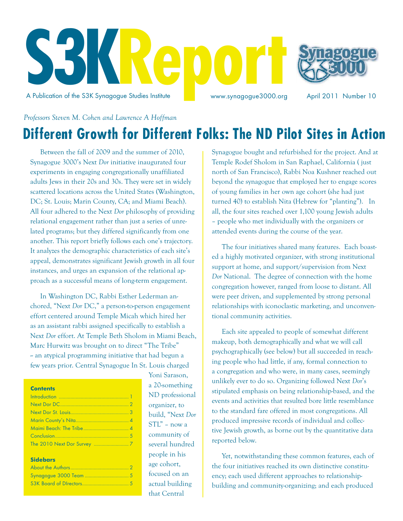

*Professors Steven M. Cohen and Lawrence A Hoffman*

# **Different Growth for Different Folks: The ND Pilot Sites in Action**

Between the fall of 2009 and the summer of 2010, Synagogue 3000's Next *Dor* initiative inaugurated four experiments in engaging congregationally unaffiliated adults Jews in their 20s and 30s. They were set in widely scattered locations across the United States (Washington, DC; St. Louis; Marin County, CA; and Miami Beach). All four adhered to the Next *Dor* philosophy of providing relational engagement rather than just a series of unrelated programs; but they differed significantly from one another. This report briefly follows each one's trajectory. It analyzes the demographic characteristics of each site's appeal, demonstrates significant Jewish growth in all four instances, and urges an expansion of the relational approach as a successful means of long-term engagement.

In Washington DC, Rabbi Esther Lederman anchored, "Next *Dor* DC," a person-to-person engagement effort centered around Temple Micah which hired her as an assistant rabbi assigned specifically to establish a Next *Dor* effort. At Temple Beth Sholom in Miami Beach, Marc Hurwitz was brought on to direct "The Tribe"  $\sim$  an atypical programming initiative that had begun a few years prior. Central Synagogue In St. Louis charged

| <b>Contents</b> |
|-----------------|
|                 |
|                 |
|                 |
|                 |
|                 |
|                 |
|                 |

#### **Sidebars**

Yoni Sarason, a 20-something ND professional organizer, to build, "Next *Dor* STL" – now a community of several hundred people in his age cohort, focused on an actual building that Central

Synagogue bought and refurbished for the project. And at Temple Rodef Sholom in San Raphael, California ( just north of San Francisco), Rabbi Noa Kushner reached out beyond the synagogue that employed her to engage scores of young families in her own age cohort (she had just turned 40) to establish Nita (Hebrew for "planting"). In all, the four sites reached over 1,100 young Jewish adults – people who met individually with the organizers or attended events during the course of the year.

The four initiatives shared many features. Each boasted a highly motivated organizer, with strong institutional support at home, and support/supervision from Next *Dor* National. The degree of connection with the home congregation however, ranged from loose to distant. All were peer driven, and supplemented by strong personal relationships with iconoclastic marketing, and unconventional community activities.

Each site appealed to people of somewhat different makeup, both demographically and what we will call psychographically (see below) but all succeeded in reaching people who had little, if any, formal connection to a congregation and who were, in many cases, seemingly unlikely ever to do so. Organizing followed Next *Dor*'s stipulated emphasis on being relationship-based, and the events and activities that resulted bore little resemblance to the standard fare offered in most congregations. All produced impressive records of individual and collective Jewish growth, as borne out by the quantitative data reported below.

Yet, notwithstanding these common features, each of the four initiatives reached its own distinctive constituency; each used different approaches to relationshipbuilding and community-organizing; and each produced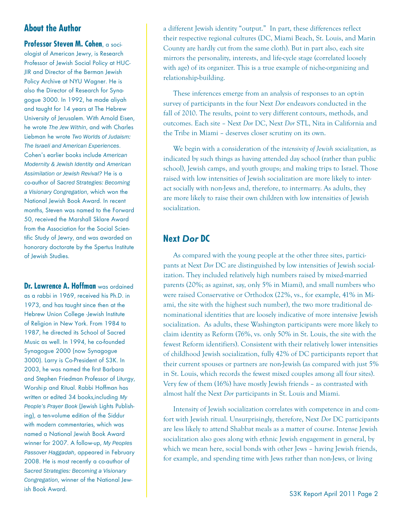### **About the Author**

**Professor Steven M. Cohen, a soci**plogist of American Jewry, is Research Professor of Jewish Social Policy at HUC-JIR and Director of the Berman Jewish Policy Archive at NYU Wagner. He is also the Director of Research for Synagogue 3000. In 1992, he made aliyah and taught for 14 years at The Hebrew University of Jerusalem. With Arnold Eisen, he wrote The Jew Within, and with Charles Liebman he wrote *Two Worlds of Judaism:* **The Israeli and American Experiences.** Cohen's earlier books include American *Modernity & Jewish Identity*!boe!*American*  Assimilation or Jewish Revival? He is a co-author of Sacred Strategies: Becoming a Visionary Congregation, which won the National Jewish Book Award. In recent months, Steven was named to the Forward 50. received the Marshall Sklare Award from the Association for the Social Scientific Study of Jewry, and was awarded an honorary doctorate by the Spertus Institute of Jewish Studies.

**Dr. Lawrence A. Hoffman** was ordained as a rabbi in 1969, received his Ph.D. in 1973, and has taught since then at the Hebrew Union College -Jewish Institute of Religion in New York. From 1984 to 1987, he directed its School of Sacred Music as well. In 1994, he co-founded Synagogue 2000 (now Synagogue 3000). Larry is Co-President of S3K. In 2003, he was named the first Barbara and Stephen Friedman Professor of Liturgy, Worship and Ritual. Rabbi Hoffman has written or edited 34 books, including My **People's Prayer Book (Jewish Lights Publish**ing), a ten-volume edition of the Siddur with modern commentaries, which was named a National Jewish Book Award winner for 2007. A follow-up, My Peoples Passover Haggadah, appeared in February 2008. He is most recently a co-author of *Sacred Strategies: Becoming a Visionary Congregation*, winner of the National Jewish Book Award.

a different Jewish identity "output." In part, these differences reflect their respective regional cultures (DC, Miami Beach, St. Louis, and Marin County are hardly cut from the same cloth). But in part also, each site mirrors the personality, interests, and life-cycle stage (correlated loosely with age) of its organizer. This is a true example of niche-organizing and relationship-building.

These inferences emerge from an analysis of responses to an opt-in survey of participants in the four Next *Dor* endeavors conducted in the fall of 2010. The results, point to very different contours, methods, and outcomes. Each site – Next *Dor* DC, Next *Dor* STL, Nita in California and the Tribe in Miami – deserves closer scrutiny on its own.

We begin with a consideration of the *intensivity of Jewish socialization*, as indicated by such things as having attended day school (rather than public school), Jewish camps, and youth groups; and making trips to Israel. Those raised with low intensities of Jewish socialization are more likely to interact socially with non-Jews and, therefore, to intermarry. As adults, they are more likely to raise their own children with low intensities of Jewish socialization.

### **Next** *Dor* **DC**

As compared with the young people at the other three sites, participants at Next *Dor* DC are distinguished by low intensities of Jewish socialization. They included relatively high numbers raised by mixed-married parents (20%; as against, say, only 5% in Miami), and small numbers who were raised Conservative or Orthodox (22%, vs., for example, 41% in Miami, the site with the highest such number), the two more traditional denominational identities that are loosely indicative of more intensive Jewish socialization. As adults, these Washington participants were more likely to claim identity as Reform (76%, vs. only 50% in St. Louis, the site with the fewest Reform identifiers). Consistent with their relatively lower intensities of childhood Jewish socialization, fully 42% of DC participants report that their current spouses or partners are non-Jewish (as compared with just 5% in St. Louis, which records the fewest mixed couples among all four sites). Very few of them (16%) have mostly Jewish friends – as contrasted with almost half the Next *Dor* participants in St. Louis and Miami.

Intensity of Jewish socialization correlates with competence in and comfort with Jewish ritual. Unsurprisingly, therefore, Next *Dor* DC participants are less likely to attend Shabbat meals as a matter of course. Intense Jewish socialization also goes along with ethnic Jewish engagement in general, by which we mean here, social bonds with other Jews – having Jewish friends, for example, and spending time with Jews rather than non-Jews, or living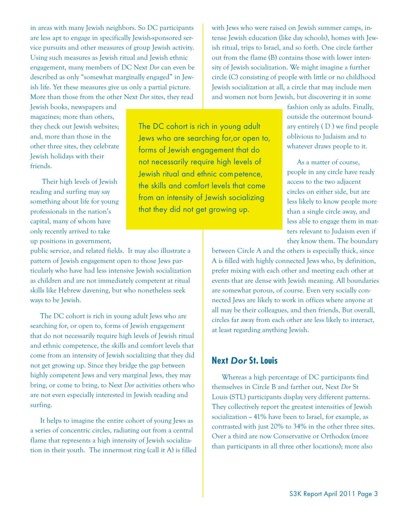in areas with many Jewish neighbors. So DC participants are less apt to engage in specifically Jewish-sponsored service pursuits and other measures of group Jewish activity. Using such measures as Jewish ritual and Jewish ethnic engagement, many members of DC Next *Dor* can even be described as only "somewhat marginally engaged" in Jewish life. Yet these measures give us only a partial picture. More than those from the other Next *Dor* sites, they read

Jewish books, newspapers and magazines; more than others, they check out Jewish websites; and, more than those in the other three sites, they celebrate Jewish holidays with their friends.

 Their high levels of Jewish reading and surfing may say something about life for young professionals in the nation's capital, many of whom have only recently arrived to take up positions in government,

public service, and related fields. It may also illustrate a pattern of Jewish engagement open to those Jews particularly who have had less intensive Jewish socialization as children and are not immediately competent at ritual skills like Hebrew davening, but who nonetheless seek ways to be Jewish.

The DC cohort is rich in young adult Jews who are searching for, or open to, forms of Jewish engagement that do not necessarily require high levels of Jewish ritual and ethnic competence, the skills and comfort levels that come from an intensity of Jewish socializing that they did not get growing up. Since they bridge the gap between highly competent Jews and very marginal Jews, they may bring, or come to bring, to Next *Dor* activities others who are not even especially interested in Jewish reading and surfing.

It helps to imagine the entire cohort of young Jews as a series of concentric circles, radiating out from a central flame that represents a high intensity of Jewish socialization in their youth. The innermost ring (call it A) is filled

The DC cohort is rich in young adult Jews who are searching for, or open to, forms of Jewish engagement that do not necessarily require high levels of Jewish ritual and ethnic competence, the skills and comfort levels that come from an intensity of Jewish socializing that they did not get growing up.

with Jews who were raised on Jewish summer camps, intense Jewish education (like day schools), homes with Jewish ritual, trips to Israel, and so forth. One circle farther out from the flame (B) contains those with lower intensity of Jewish socialization. We might imagine a further circle (C) consisting of people with little or no childhood Jewish socialization at all, a circle that may include men and women not born Jewish, but discovering it in some

> fashion only as adults. Finally, outside the outermost boundary entirely ( D ) we find people oblivious to Judaism and to whatever draws people to it.

> As a matter of course, people in any circle have ready access to the two adjacent circles on either side, but are less likely to know people more than a single circle away, and less able to engage them in matters relevant to Judaism even if they know them. The boundary

between Circle A and the others is especially thick, since A is filled with highly connected Jews who, by definition, prefer mixing with each other and meeting each other at events that are dense with Jewish meaning. All boundaries are somewhat porous, of course. Even very socially connected Jews are likely to work in offices where anyone at all may be their colleagues, and then friends, But overall, circles far away from each other are less likely to interact, at least regarding anything Jewish.

#### **Next** *Dor* **St. Louis**

Whereas a high percentage of DC participants find themselves in Circle B and farther out, Next *Dor* St Louis (STL) participants display very different patterns. They collectively report the greatest intensities of Jewish socialization  $-41\%$  have been to Israel, for example, as contrasted with just 20% to 34% in the other three sites. Over a third are now Conservative or Orthodox (more than participants in all three other locations); more also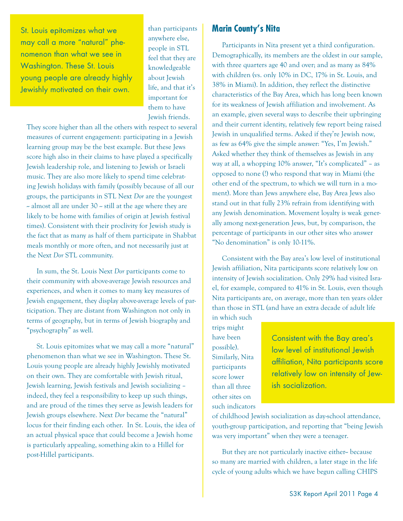St. Louis epitomizes what we may call a more "natural" phenomenon than what we see in Washinaton. These St. Louis young people are already highly Jewishly motivated on their own.

than participants anywhere else, people in STL feel that they are knowledgeable about Jewish life, and that it's important for them to have Jewish friends.

They score higher than all the others with respect to several measures of current engagement: participating in a Jewish learning group may be the best example. But these Jews score high also in their claims to have played a specifically Jewish leadership role, and listening to Jewish or Israeli music. They are also more likely to spend time celebrating Jewish holidays with family (possibly because of all our groups, the participants in STL Next *Dor* are the youngest  $\sim$  almost all are under 30  $\sim$  still at the age where they are likely to be home with families of origin at Jewish festival times). Consistent with their proclivity for Jewish study is the fact that as many as half of them participate in Shabbat meals monthly or more often, and not necessarily just at the Next *Dor* STL community.

In sum, the St. Louis Next *Dor* participants come to their community with above-average Jewish resources and experiences, and when it comes to many key measures of Jewish engagement, they display above-average levels of participation. They are distant from Washington not only in terms of geography, but in terms of Jewish biography and "psychography" as well.

St. Louis epitomizes what we may call a more "natural" phenomenon than what we see in Washington. These St. Louis young people are already highly Jewishly motivated on their own. They are comfortable with Jewish ritual, Jewish learning, Jewish festivals and Jewish socializing – indeed, they feel a responsibility to keep up such things, and are proud of the times they serve as Jewish leaders for Jewish groups elsewhere. Next *Dor* became the "natural" locus for their finding each other. In St. Louis, the idea of an actual physical space that could become a Jewish home is particularly appealing, something akin to a Hillel for post-Hillel participants.

#### **Marin County's Nita**

Participants in Nita present yet a third configuration. Demographically, its members are the oldest in our sample, with three quarters age 40 and over; and as many as 84% with children (vs. only 10% in DC, 17% in St. Louis, and 38% in Miami). In addition, they reflect the distinctive characteristics of the Bay Area, which has long been known for its weakness of Jewish affiliation and involvement. As an example, given several ways to describe their upbringing and their current identity, relatively few report being raised Jewish in unqualified terms. Asked if they're Jewish now, as few as 64% give the simple answer: "Yes, I'm Jewish." Asked whether they think of themselves as Jewish in any way at all, a whopping 10% answer, "It's complicated" – as opposed to none (!) who respond that way in Miami (the other end of the spectrum, to which we will turn in a moment). More than Jews anywhere else, Bay Area Jews also stand out in that fully 23% refrain from identifying with any Jewish denomination. Movement loyalty is weak generally among next-generation Jews, but, by comparison, the percentage of participants in our other sites who answer "No denomination" is only 10-11%.

Consistent with the Bay area's low level of institutional Jewish affiliation, Nita participants score relatively low on intensity of Jewish socialization. Only 29% had visited Israel, for example, compared to 41% in St. Louis, even though Nita participants are, on average, more than ten years older than those in STL (and have an extra decade of adult life

in which such trips might have been possible). Similarly, Nita participants score lower than all three other sites on such indicators

Consistent with the Bay area's low level of institutional Jewish affiliation, Nita participants score relatively low on intensity of Jewish socialization.

of childhood Jewish socialization as day-school attendance, youth-group participation, and reporting that "being Jewish was very important" when they were a teenager.

But they are not particularly inactive either-- because so many are married with children, a later stage in the life cycle of young adults which we have begun calling CHIPS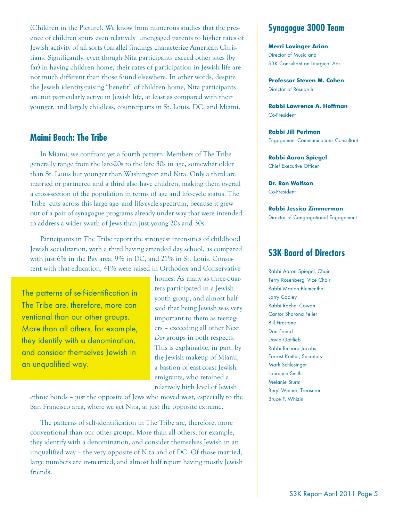(Children in the Picture). We know from numerous studies that the presence of children spurs even relatively unengaged parents to higher rates of Jewish activity of all sorts (parallel findings characterize American Christians. Significantly, even though Nita participants exceed other sites (by far) in having children home, their rates of participation in Jewish life are not much different than those found elsewhere. In other words, despite the Jewish identity-raising "benefit" of children home, Nita participants are not particularly active in Jewish life, at least as compared with their younger, and largely childless, counterparts in St. Louis, DC, and Miami.

#### **Maimi Beach: The Tribe**

In Miami, we confront yet a fourth pattern. Members of The Tribe generally range from the late-20s to the late 30s in age, somewhat older than St. Louis but younger than Washington and Nita. Only a third are married or partnered and a third also have children, making them overall a cross-section of the population in terms of age and life-cycle status. The Tribe cuts across this large age- and life-cycle spectrum, because it grew out of a pair of synagogue programs already under way that were intended to address a wider swath of Jews than just young 20s and 30s.

Participants in The Tribe report the strongest intensities of childhood Jewish socialization, with a third having attended day school, as compared with just 6% in the Bay area, 9% in DC, and 21% in St. Louis. Consistent with that education, 41% were raised in Orthodox and Conservative

The patterns of self-identification in The Tribe are, therefore, more conventional than our other groups. More than all others, for example, they identify with a denomination. and consider themselves Jewish in an unqualified way.

homes. As many as three-quarters participated in a Jewish youth group, and almost half said that being Jewish was very important to them as teenagers – exceeding all other Next *Dor* groups in both respects. This is explainable, in part, by the Jewish makeup of Miami, a bastion of east-coast Jewish emigrants, who retained a relatively high level of Jewish

ethnic bonds – just the opposite of Jews who moved west, especially to the San Francisco area, where we get Nita, at just the opposite extreme.

The patterns of self-identification in The Tribe are, therefore, more conventional than our other groups. More than all others, for example, they identify with a denomination, and consider themselves Jewish in an unqualified way – the very opposite of Nita and of DC. Of those married, large numbers are in-married, and almost half report having mostly Jewish friends.

### **Synagogue 3000 Team**

**Merri Lovinger Arian** Director of Music and S3K Consultant on Liturgical Arts

**Professor Steven M. Cohen** Director of Research

**Rabbi Lawrence A. Hoffman** Co-President

**Rabbi Jill Perlman** Engagement Communications Consultant

**Rabbi Aaron Spiegel** Chief Executive Officer

**Dr. Ron Wolfson** Co-President

**Rabbi Jessica Zimmerman** Director of Congregational Engagement

#### **S3K Board of Directors**

Rabbi Aaron Spiegel, Chair Terry Rosenberg, Vice Chair Rabbi Marion Blumenthal Larry Cooley Rabbi Rachel Cowan Cantor Sharona Feller **Bill Firestone** Don Friend David Gottlieb Rabbi Richard Jacobs Forrest Krutter, Secretary Mark Schlesinger Laurence Smith Melanie Sturm Beryl Weiner, Treasurer Bruce F. Whizin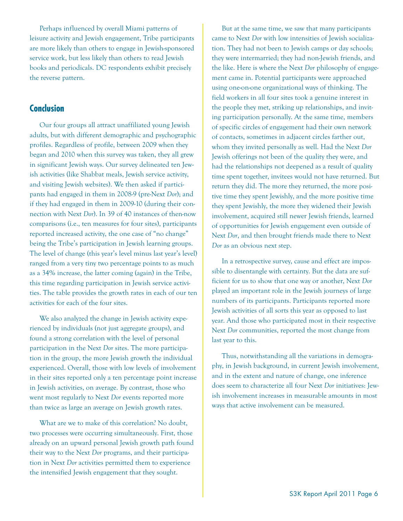Perhaps influenced by overall Miami patterns of leisure activity and Jewish engagement, Tribe participants are more likely than others to engage in Jewish-sponsored service work, but less likely than others to read Jewish books and periodicals. DC respondents exhibit precisely the reverse pattern.

#### **Conclusion**

Our four groups all attract unaffiliated young Jewish adults, but with different demographic and psychographic profiles. Regardless of profile, between 2009 when they began and 2010 when this survey was taken, they all grew in significant Jewish ways. Our survey delineated ten Jewish activities (like Shabbat meals, Jewish service activity, and visiting Jewish websites). We then asked if participants had engaged in them in 2008-9 (pre-Next *Dor*); and if they had engaged in them in 2009-10 (during their connection with Next *Dor*). In 39 of 40 instances of then-now comparisons (i.e., ten measures for four sites), participants reported increased activity, the one case of "no change" being the Tribe's participation in Jewish learning groups. The level of change (this year's level minus last year's level) ranged from a very tiny two percentage points to as much as a 34% increase, the latter coming (again) in the Tribe, this time regarding participation in Jewish service activities. The table provides the growth rates in each of our ten activities for each of the four sites.

We also analyzed the change in Jewish activity experienced by individuals (not just aggregate groups), and found a strong correlation with the level of personal participation in the Next *Dor* sites. The more participation in the group, the more Jewish growth the individual experienced. Overall, those with low levels of involvement in their sites reported only a ten percentage point increase in Jewish activities, on average. By contrast, those who went most regularly to Next *Dor* events reported more than twice as large an average on Jewish growth rates.

What are we to make of this correlation? No doubt, two processes were occurring simultaneously. First, those already on an upward personal Jewish growth path found their way to the Next *Dor* programs, and their participation in Next *Dor* activities permitted them to experience the intensified Jewish engagement that they sought.

But at the same time, we saw that many participants came to Next *Dor* with low intensities of Jewish socialization. They had not been to Jewish camps or day schools; they were intermarried; they had non-Jewish friends, and the like. Here is where the Next *Dor* philosophy of engagement came in. Potential participants were approached using one-on-one organizational ways of thinking. The field workers in all four sites took a genuine interest in the people they met, striking up relationships, and inviting participation personally. At the same time, members of specific circles of engagement had their own network of contacts, sometimes in adjacent circles farther out, whom they invited personally as well. Had the Next *Dor* Jewish offerings not been of the quality they were, and had the relationships not deepened as a result of quality time spent together, invitees would not have returned. But return they did. The more they returned, the more positive time they spent Jewishly, and the more positive time they spent Jewishly, the more they widened their Jewish involvement, acquired still newer Jewish friends, learned of opportunities for Jewish engagement even outside of Next *Dor*, and then brought friends made there to Next *Dor* as an obvious next step.

In a retrospective survey, cause and effect are impossible to disentangle with certainty. But the data are sufficient for us to show that one way or another, Next *Dor* played an important role in the Jewish journeys of large numbers of its participants. Participants reported more Jewish activities of all sorts this year as opposed to last year. And those who participated most in their respective Next *Dor* communities, reported the most change from last year to this.

Thus, notwithstanding all the variations in demography, in Jewish background, in current Jewish involvement, and in the extent and nature of change, one inference does seem to characterize all four Next *Dor* initiatives: Jewish involvement increases in measurable amounts in most ways that active involvement can be measured.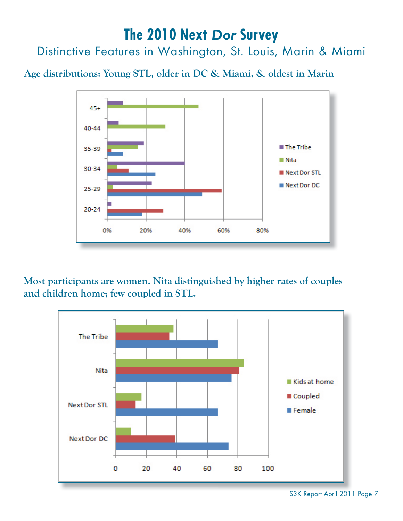# **The 2010 Next** *Dor* **Survey**

Distinctive Features in Washington, St. Louis, Marin & Miami

**Age distributions: Young STL, older in DC & Miami, & oldest in Marin**



**Most participants are women. Nita distinguished by higher rates of couples and children home; few coupled in STL.**



S3K Report April 2011 Page 7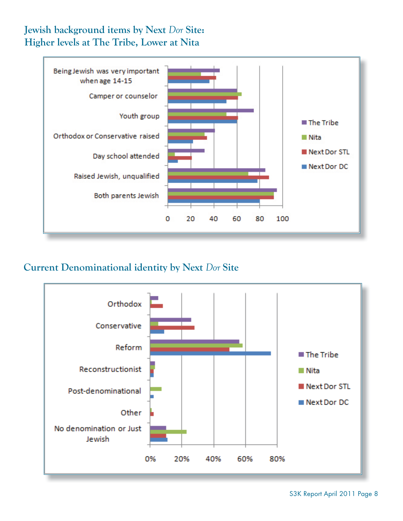# **Jewish background items by Next** *Dor* **Site: Higher levels at The Tribe, Lower at Nita**



# **Current Denominational identity by Next** *Dor* **Site**



S3K Report April 2011 Page 8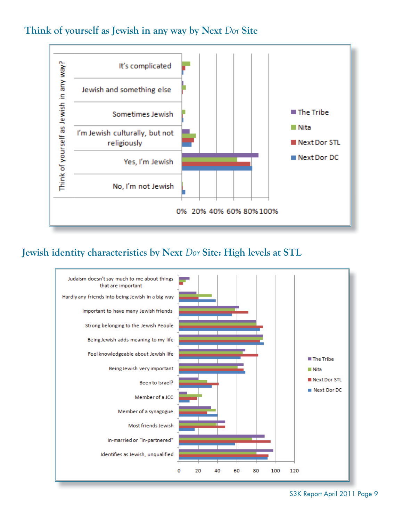## **Think of yourself as Jewish in any way by Next** *Dor* **Site**



### **Jewish identity characteristics by Next** *Dor* **Site: High levels at STL**



S3K Report April 2011 Page 9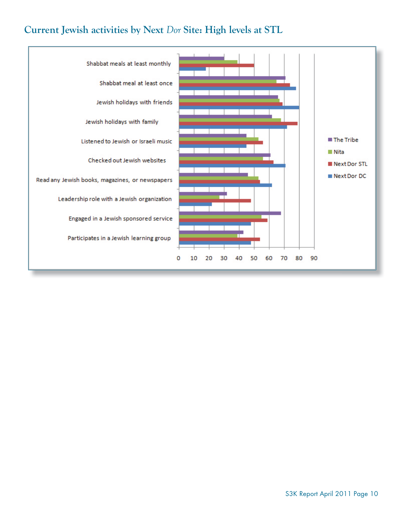# **Current Jewish activities by Next** *Dor* **Site: High levels at STL**

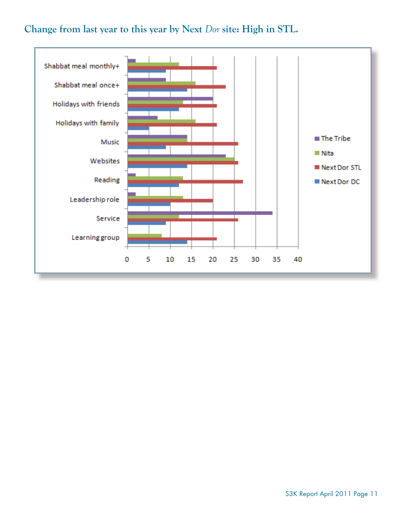# **Change from last year to this year by Next** *Dor* **site: High in STL.**

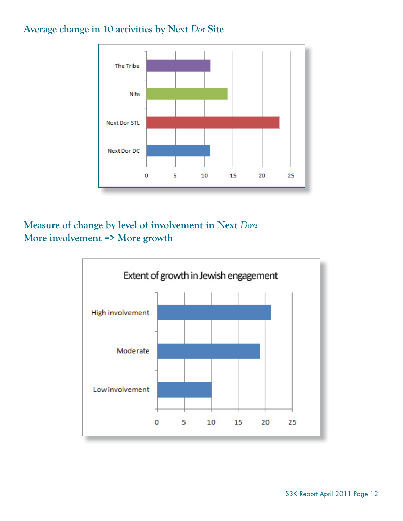## **Average change in 10 activities by Next** *Dor* **Site**



**Measure of change by level of involvement in Next** *Dor***: More involvement => More growth**

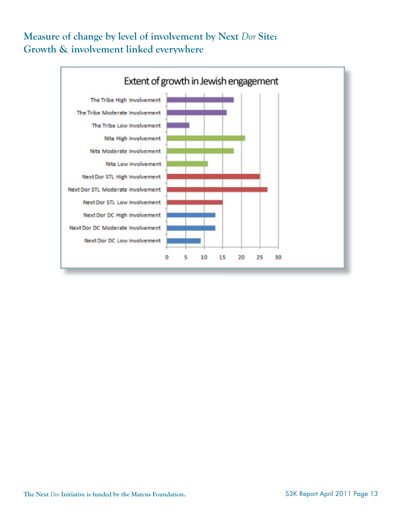# **Measure of change by level of involvement by Next** *Dor* **Site: Growth & involvement linked everywhere**